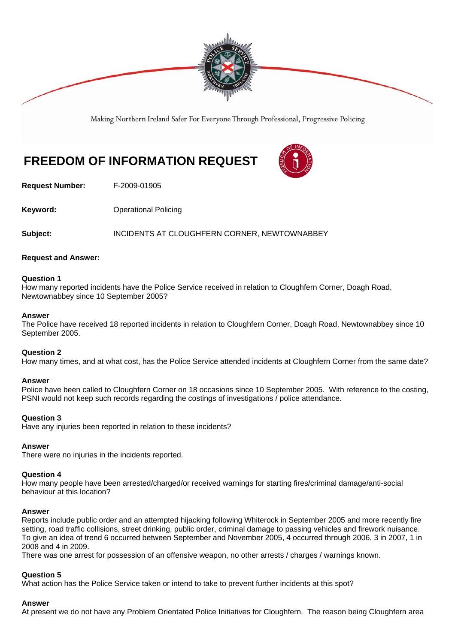

Making Northern Ireland Safer For Everyone Through Professional, Progressive Policing

# **FREEDOM OF INFORMATION REQUEST**



**Request Number:** F-2009-01905

**Keyword: C** Operational Policing

**Subject:** INCIDENTS AT CLOUGHFERN CORNER, NEWTOWNABBEY

# **Request and Answer:**

## **Question 1**

How many reported incidents have the Police Service received in relation to Cloughfern Corner, Doagh Road, Newtownabbey since 10 September 2005?

## **Answer**

The Police have received 18 reported incidents in relation to Cloughfern Corner, Doagh Road, Newtownabbey since 10 September 2005.

# **Question 2**

How many times, and at what cost, has the Police Service attended incidents at Cloughfern Corner from the same date?

#### **Answer**

Police have been called to Cloughfern Corner on 18 occasions since 10 September 2005. With reference to the costing, PSNI would not keep such records regarding the costings of investigations / police attendance.

#### **Question 3**

Have any injuries been reported in relation to these incidents?

# **Answer**

There were no injuries in the incidents reported.

#### **Question 4**

How many people have been arrested/charged/or received warnings for starting fires/criminal damage/anti-social behaviour at this location?

#### **Answer**

Reports include public order and an attempted hijacking following Whiterock in September 2005 and more recently fire setting, road traffic collisions, street drinking, public order, criminal damage to passing vehicles and firework nuisance. To give an idea of trend 6 occurred between September and November 2005, 4 occurred through 2006, 3 in 2007, 1 in 2008 and 4 in 2009.

There was one arrest for possession of an offensive weapon, no other arrests / charges / warnings known.

# **Question 5**

What action has the Police Service taken or intend to take to prevent further incidents at this spot?

#### **Answer**

At present we do not have any Problem Orientated Police Initiatives for Cloughfern. The reason being Cloughfern area